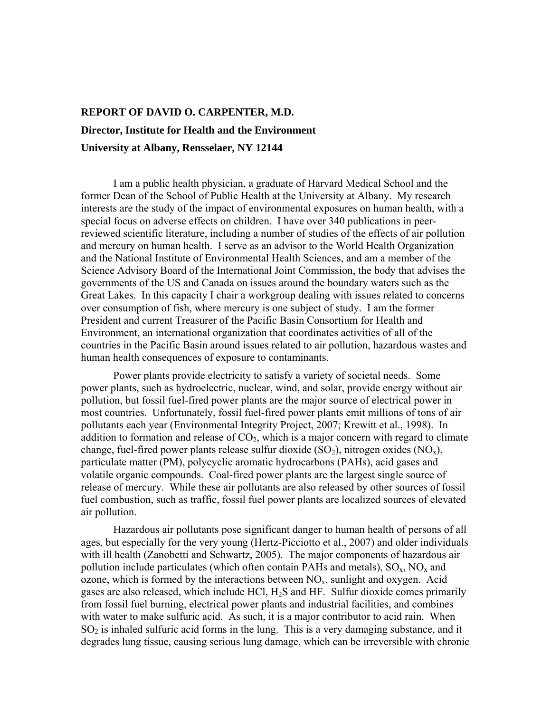## **REPORT OF DAVID O. CARPENTER, M.D. Director, Institute for Health and the Environment University at Albany, Rensselaer, NY 12144**

I am a public health physician, a graduate of Harvard Medical School and the former Dean of the School of Public Health at the University at Albany. My research interests are the study of the impact of environmental exposures on human health, with a special focus on adverse effects on children. I have over 340 publications in peerreviewed scientific literature, including a number of studies of the effects of air pollution and mercury on human health. I serve as an advisor to the World Health Organization and the National Institute of Environmental Health Sciences, and am a member of the Science Advisory Board of the International Joint Commission, the body that advises the governments of the US and Canada on issues around the boundary waters such as the Great Lakes. In this capacity I chair a workgroup dealing with issues related to concerns over consumption of fish, where mercury is one subject of study. I am the former President and current Treasurer of the Pacific Basin Consortium for Health and Environment, an international organization that coordinates activities of all of the countries in the Pacific Basin around issues related to air pollution, hazardous wastes and human health consequences of exposure to contaminants.

Power plants provide electricity to satisfy a variety of societal needs. Some power plants, such as hydroelectric, nuclear, wind, and solar, provide energy without air pollution, but fossil fuel-fired power plants are the major source of electrical power in most countries. Unfortunately, fossil fuel-fired power plants emit millions of tons of air pollutants each year (Environmental Integrity Project, 2007; Krewitt et al., 1998). In addition to formation and release of  $CO<sub>2</sub>$ , which is a major concern with regard to climate change, fuel-fired power plants release sulfur dioxide  $(SO_2)$ , nitrogen oxides  $(NO_x)$ , particulate matter (PM), polycyclic aromatic hydrocarbons (PAHs), acid gases and volatile organic compounds. Coal-fired power plants are the largest single source of release of mercury. While these air pollutants are also released by other sources of fossil fuel combustion, such as traffic, fossil fuel power plants are localized sources of elevated air pollution.

Hazardous air pollutants pose significant danger to human health of persons of all ages, but especially for the very young (Hertz-Picciotto et al., 2007) and older individuals with ill health (Zanobetti and Schwartz, 2005). The major components of hazardous air pollution include particulates (which often contain PAHs and metals),  $SO_x$ ,  $NO_x$  and ozone, which is formed by the interactions between  $NO<sub>x</sub>$ , sunlight and oxygen. Acid gases are also released, which include HCl, H2S and HF. Sulfur dioxide comes primarily from fossil fuel burning, electrical power plants and industrial facilities, and combines with water to make sulfuric acid. As such, it is a major contributor to acid rain. When  $SO<sub>2</sub>$  is inhaled sulfuric acid forms in the lung. This is a very damaging substance, and it degrades lung tissue, causing serious lung damage, which can be irreversible with chronic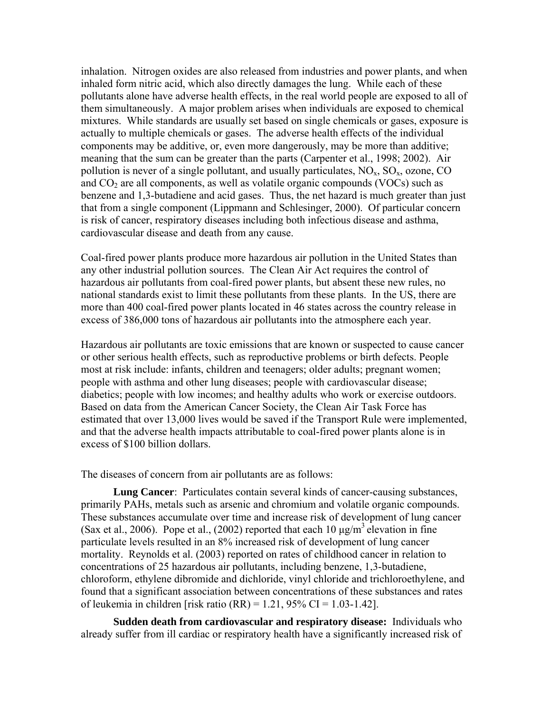inhalation. Nitrogen oxides are also released from industries and power plants, and when inhaled form nitric acid, which also directly damages the lung. While each of these pollutants alone have adverse health effects, in the real world people are exposed to all of them simultaneously. A major problem arises when individuals are exposed to chemical mixtures. While standards are usually set based on single chemicals or gases, exposure is actually to multiple chemicals or gases. The adverse health effects of the individual components may be additive, or, even more dangerously, may be more than additive; meaning that the sum can be greater than the parts (Carpenter et al., 1998; 2002). Air pollution is never of a single pollutant, and usually particulates,  $NO<sub>x</sub>$ ,  $SO<sub>x</sub>$ , ozone, CO and  $CO<sub>2</sub>$  are all components, as well as volatile organic compounds (VOCs) such as benzene and 1,3-butadiene and acid gases. Thus, the net hazard is much greater than just that from a single component (Lippmann and Schlesinger, 2000). Of particular concern is risk of cancer, respiratory diseases including both infectious disease and asthma, cardiovascular disease and death from any cause.

Coal-fired power plants produce more hazardous air pollution in the United States than any other industrial pollution sources. The Clean Air Act requires the control of hazardous air pollutants from coal-fired power plants, but absent these new rules, no national standards exist to limit these pollutants from these plants. In the US, there are more than 400 coal-fired power plants located in 46 states across the country release in excess of 386,000 tons of hazardous air pollutants into the atmosphere each year.

Hazardous air pollutants are toxic emissions that are known or suspected to cause cancer or other serious health effects, such as reproductive problems or birth defects. People most at risk include: infants, children and teenagers; older adults; pregnant women; people with asthma and other lung diseases; people with cardiovascular disease; diabetics; people with low incomes; and healthy adults who work or exercise outdoors. Based on data from the American Cancer Society, the Clean Air Task Force has estimated that over 13,000 lives would be saved if the Transport Rule were implemented, and that the adverse health impacts attributable to coal-fired power plants alone is in excess of \$100 billion dollars.

The diseases of concern from air pollutants are as follows:

**Lung Cancer**: Particulates contain several kinds of cancer-causing substances, primarily PAHs, metals such as arsenic and chromium and volatile organic compounds. These substances accumulate over time and increase risk of development of lung cancer (Sax et al., 2006). Pope et al., (2002) reported that each 10  $\mu$ g/m<sup>3</sup> elevation in fine particulate levels resulted in an 8% increased risk of development of lung cancer mortality. Reynolds et al. (2003) reported on rates of childhood cancer in relation to concentrations of 25 hazardous air pollutants, including benzene, 1,3-butadiene, chloroform, ethylene dibromide and dichloride, vinyl chloride and trichloroethylene, and found that a significant association between concentrations of these substances and rates of leukemia in children [risk ratio (RR) = 1.21, 95% CI = 1.03-1.42].

**Sudden death from cardiovascular and respiratory disease:** Individuals who already suffer from ill cardiac or respiratory health have a significantly increased risk of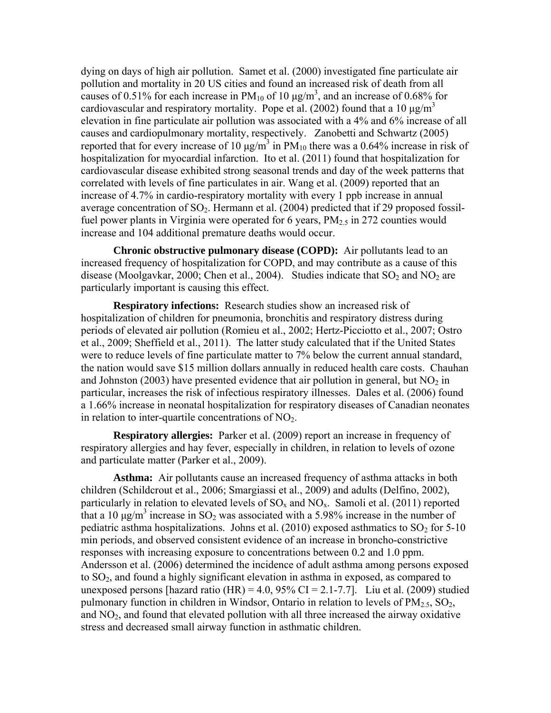dying on days of high air pollution. Samet et al. (2000) investigated fine particulate air pollution and mortality in 20 US cities and found an increased risk of death from all causes of 0.51% for each increase in  $PM_{10}$  of 10  $\mu$ g/m<sup>3</sup>, and an increase of 0.68% for cardiovascular and respiratory mortality. Pope et al. (2002) found that a 10  $\mu$ g/m<sup>3</sup> elevation in fine particulate air pollution was associated with a 4% and 6% increase of all causes and cardiopulmonary mortality, respectively. Zanobetti and Schwartz (2005) reported that for every increase of 10  $\mu$ g/m<sup>3</sup> in PM<sub>10</sub> there was a 0.64% increase in risk of hospitalization for myocardial infarction. Ito et al. (2011) found that hospitalization for cardiovascular disease exhibited strong seasonal trends and day of the week patterns that correlated with levels of fine particulates in air. Wang et al. (2009) reported that an increase of 4.7% in cardio-respiratory mortality with every 1 ppb increase in annual average concentration of  $SO_2$ . Hermann et al. (2004) predicted that if 29 proposed fossilfuel power plants in Virginia were operated for 6 years,  $PM_{2.5}$  in 272 counties would increase and 104 additional premature deaths would occur.

**Chronic obstructive pulmonary disease (COPD):** Air pollutants lead to an increased frequency of hospitalization for COPD, and may contribute as a cause of this disease (Moolgavkar, 2000; Chen et al., 2004). Studies indicate that  $SO_2$  and  $NO_2$  are particularly important is causing this effect.

**Respiratory infections:** Research studies show an increased risk of hospitalization of children for pneumonia, bronchitis and respiratory distress during periods of elevated air pollution (Romieu et al., 2002; Hertz-Picciotto et al., 2007; Ostro et al., 2009; Sheffield et al., 2011). The latter study calculated that if the United States were to reduce levels of fine particulate matter to 7% below the current annual standard, the nation would save \$15 million dollars annually in reduced health care costs. Chauhan and Johnston (2003) have presented evidence that air pollution in general, but  $NO<sub>2</sub>$  in particular, increases the risk of infectious respiratory illnesses. Dales et al. (2006) found a 1.66% increase in neonatal hospitalization for respiratory diseases of Canadian neonates in relation to inter-quartile concentrations of  $NO<sub>2</sub>$ .

**Respiratory allergies:** Parker et al. (2009) report an increase in frequency of respiratory allergies and hay fever, especially in children, in relation to levels of ozone and particulate matter (Parker et al., 2009).

**Asthma:** Air pollutants cause an increased frequency of asthma attacks in both children (Schildcrout et al., 2006; Smargiassi et al., 2009) and adults (Delfino, 2002), particularly in relation to elevated levels of  $SO_x$  and  $NO_x$ . Samoli et al. (2011) reported that a 10  $\mu$ g/m<sup>3</sup> increase in SO<sub>2</sub> was associated with a 5.98% increase in the number of pediatric asthma hospitalizations. Johns et al.  $(2010)$  exposed asthmatics to  $SO<sub>2</sub>$  for 5-10 min periods, and observed consistent evidence of an increase in broncho-constrictive responses with increasing exposure to concentrations between 0.2 and 1.0 ppm. Andersson et al. (2006) determined the incidence of adult asthma among persons exposed to  $SO<sub>2</sub>$ , and found a highly significant elevation in asthma in exposed, as compared to unexposed persons [hazard ratio (HR) = 4.0,  $95\%$  CI = 2.1-7.7]. Liu et al. (2009) studied pulmonary function in children in Windsor, Ontario in relation to levels of  $PM_{2.5}$ ,  $SO_2$ , and  $NO<sub>2</sub>$ , and found that elevated pollution with all three increased the airway oxidative stress and decreased small airway function in asthmatic children.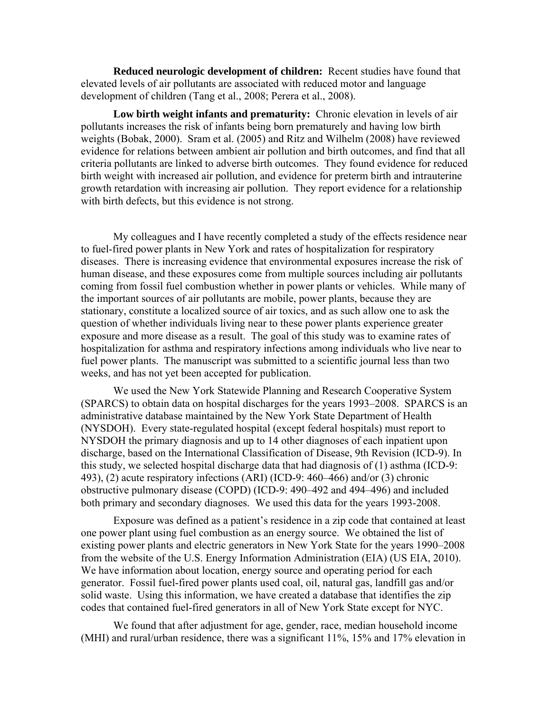**Reduced neurologic development of children:** Recent studies have found that elevated levels of air pollutants are associated with reduced motor and language development of children (Tang et al., 2008; Perera et al., 2008).

 **Low birth weight infants and prematurity:** Chronic elevation in levels of air pollutants increases the risk of infants being born prematurely and having low birth weights (Bobak, 2000). Sram et al. (2005) and Ritz and Wilhelm (2008) have reviewed evidence for relations between ambient air pollution and birth outcomes, and find that all criteria pollutants are linked to adverse birth outcomes. They found evidence for reduced birth weight with increased air pollution, and evidence for preterm birth and intrauterine growth retardation with increasing air pollution. They report evidence for a relationship with birth defects, but this evidence is not strong.

My colleagues and I have recently completed a study of the effects residence near to fuel-fired power plants in New York and rates of hospitalization for respiratory diseases. There is increasing evidence that environmental exposures increase the risk of human disease, and these exposures come from multiple sources including air pollutants coming from fossil fuel combustion whether in power plants or vehicles. While many of the important sources of air pollutants are mobile, power plants, because they are stationary, constitute a localized source of air toxics, and as such allow one to ask the question of whether individuals living near to these power plants experience greater exposure and more disease as a result. The goal of this study was to examine rates of hospitalization for asthma and respiratory infections among individuals who live near to fuel power plants. The manuscript was submitted to a scientific journal less than two weeks, and has not yet been accepted for publication.

We used the New York Statewide Planning and Research Cooperative System (SPARCS) to obtain data on hospital discharges for the years 1993–2008. SPARCS is an administrative database maintained by the New York State Department of Health (NYSDOH). Every state-regulated hospital (except federal hospitals) must report to NYSDOH the primary diagnosis and up to 14 other diagnoses of each inpatient upon discharge, based on the International Classification of Disease, 9th Revision (ICD-9). In this study, we selected hospital discharge data that had diagnosis of (1) asthma (ICD-9: 493), (2) acute respiratory infections (ARI) (ICD-9: 460–466) and/or (3) chronic obstructive pulmonary disease (COPD) (ICD-9: 490–492 and 494–496) and included both primary and secondary diagnoses. We used this data for the years 1993-2008.

Exposure was defined as a patient's residence in a zip code that contained at least one power plant using fuel combustion as an energy source. We obtained the list of existing power plants and electric generators in New York State for the years 1990–2008 from the website of the U.S. Energy Information Administration (EIA) (US EIA, 2010). We have information about location, energy source and operating period for each generator. Fossil fuel-fired power plants used coal, oil, natural gas, landfill gas and/or solid waste. Using this information, we have created a database that identifies the zip codes that contained fuel-fired generators in all of New York State except for NYC.

We found that after adjustment for age, gender, race, median household income (MHI) and rural/urban residence, there was a significant 11%, 15% and 17% elevation in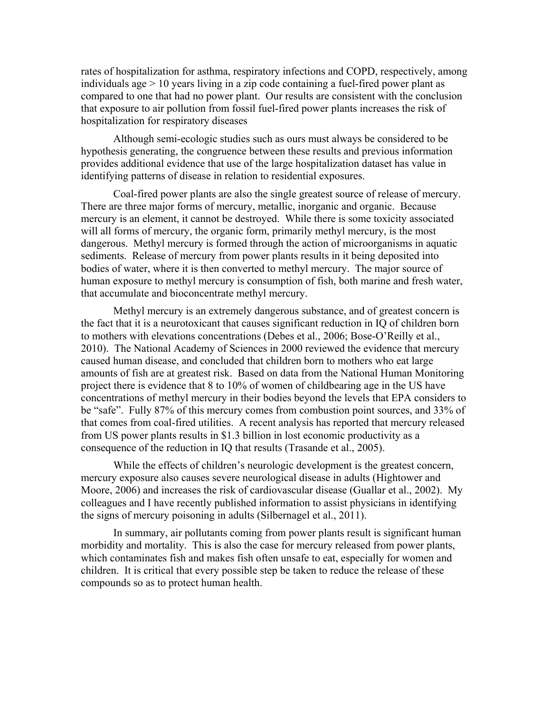rates of hospitalization for asthma, respiratory infections and COPD, respectively, among individuals age  $> 10$  years living in a zip code containing a fuel-fired power plant as compared to one that had no power plant. Our results are consistent with the conclusion that exposure to air pollution from fossil fuel-fired power plants increases the risk of hospitalization for respiratory diseases

Although semi-ecologic studies such as ours must always be considered to be hypothesis generating, the congruence between these results and previous information provides additional evidence that use of the large hospitalization dataset has value in identifying patterns of disease in relation to residential exposures.

 Coal-fired power plants are also the single greatest source of release of mercury. There are three major forms of mercury, metallic, inorganic and organic. Because mercury is an element, it cannot be destroyed. While there is some toxicity associated will all forms of mercury, the organic form, primarily methyl mercury, is the most dangerous. Methyl mercury is formed through the action of microorganisms in aquatic sediments. Release of mercury from power plants results in it being deposited into bodies of water, where it is then converted to methyl mercury. The major source of human exposure to methyl mercury is consumption of fish, both marine and fresh water, that accumulate and bioconcentrate methyl mercury.

 Methyl mercury is an extremely dangerous substance, and of greatest concern is the fact that it is a neurotoxicant that causes significant reduction in IQ of children born to mothers with elevations concentrations (Debes et al., 2006; Bose-O'Reilly et al., 2010). The National Academy of Sciences in 2000 reviewed the evidence that mercury caused human disease, and concluded that children born to mothers who eat large amounts of fish are at greatest risk. Based on data from the National Human Monitoring project there is evidence that 8 to 10% of women of childbearing age in the US have concentrations of methyl mercury in their bodies beyond the levels that EPA considers to be "safe". Fully 87% of this mercury comes from combustion point sources, and 33% of that comes from coal-fired utilities. A recent analysis has reported that mercury released from US power plants results in \$1.3 billion in lost economic productivity as a consequence of the reduction in IQ that results (Trasande et al., 2005).

 While the effects of children's neurologic development is the greatest concern, mercury exposure also causes severe neurological disease in adults (Hightower and Moore, 2006) and increases the risk of cardiovascular disease (Guallar et al., 2002). My colleagues and I have recently published information to assist physicians in identifying the signs of mercury poisoning in adults (Silbernagel et al., 2011).

 In summary, air pollutants coming from power plants result is significant human morbidity and mortality. This is also the case for mercury released from power plants, which contaminates fish and makes fish often unsafe to eat, especially for women and children. It is critical that every possible step be taken to reduce the release of these compounds so as to protect human health.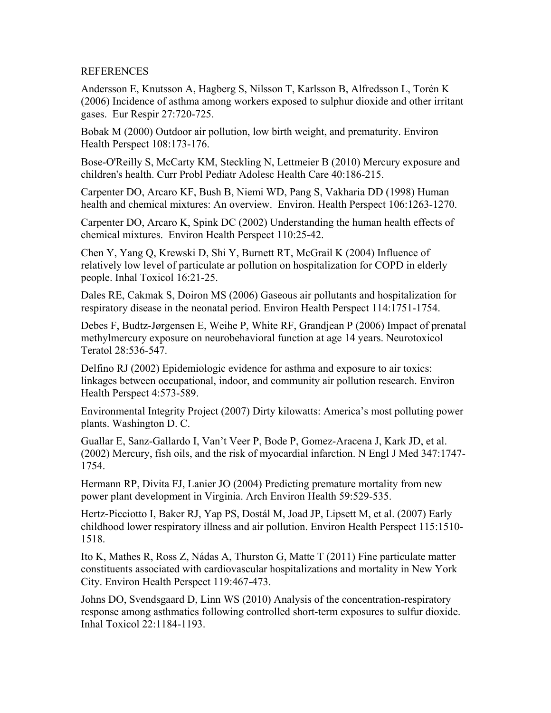## REFERENCES

Andersson E, Knutsson A, Hagberg S, Nilsson T, Karlsson B, Alfredsson L, Torén K (2006) Incidence of asthma among workers exposed to sulphur dioxide and other irritant gases. Eur Respir 27:720-725.

Bobak M (2000) Outdoor air pollution, low birth weight, and prematurity. Environ Health Perspect 108:173-176.

Bose-O'Reilly S, McCarty KM, Steckling N, Lettmeier B (2010) Mercury exposure and children's health. Curr Probl Pediatr Adolesc Health Care 40:186-215.

Carpenter DO, Arcaro KF, Bush B, Niemi WD, Pang S, Vakharia DD (1998) Human health and chemical mixtures: An overview. Environ. Health Perspect 106:1263-1270.

Carpenter DO, Arcaro K, Spink DC (2002) Understanding the human health effects of chemical mixtures. Environ Health Perspect 110:25-42.

Chen Y, Yang Q, Krewski D, Shi Y, Burnett RT, McGrail K (2004) Influence of relatively low level of particulate ar pollution on hospitalization for COPD in elderly people. Inhal Toxicol 16:21-25.

Dales RE, Cakmak S, Doiron MS (2006) Gaseous air pollutants and hospitalization for respiratory disease in the neonatal period. Environ Health Perspect 114:1751-1754.

Debes F, Budtz-Jørgensen E, Weihe P, White RF, Grandjean P (2006) Impact of prenatal methylmercury exposure on neurobehavioral function at age 14 years. Neurotoxicol Teratol 28:536-547.

Delfino RJ (2002) Epidemiologic evidence for asthma and exposure to air toxics: linkages between occupational, indoor, and community air pollution research. Environ Health Perspect 4:573-589.

Environmental Integrity Project (2007) Dirty kilowatts: America's most polluting power plants. Washington D. C.

Guallar E, Sanz-Gallardo I, Van't Veer P, Bode P, Gomez-Aracena J, Kark JD, et al. (2002) Mercury, fish oils, and the risk of myocardial infarction. N Engl J Med 347:1747- 1754.

Hermann RP, Divita FJ, Lanier JO (2004) Predicting premature mortality from new power plant development in Virginia. Arch Environ Health 59:529-535.

Hertz-Picciotto I, Baker RJ, Yap PS, Dostál M, Joad JP, Lipsett M, et al. (2007) Early childhood lower respiratory illness and air pollution. Environ Health Perspect 115:1510- 1518.

Ito K, Mathes R, Ross Z, Nádas A, Thurston G, Matte T (2011) Fine particulate matter constituents associated with cardiovascular hospitalizations and mortality in New York City. Environ Health Perspect 119:467-473.

Johns DO, Svendsgaard D, Linn WS (2010) Analysis of the concentration-respiratory response among asthmatics following controlled short-term exposures to sulfur dioxide. Inhal Toxicol 22:1184-1193.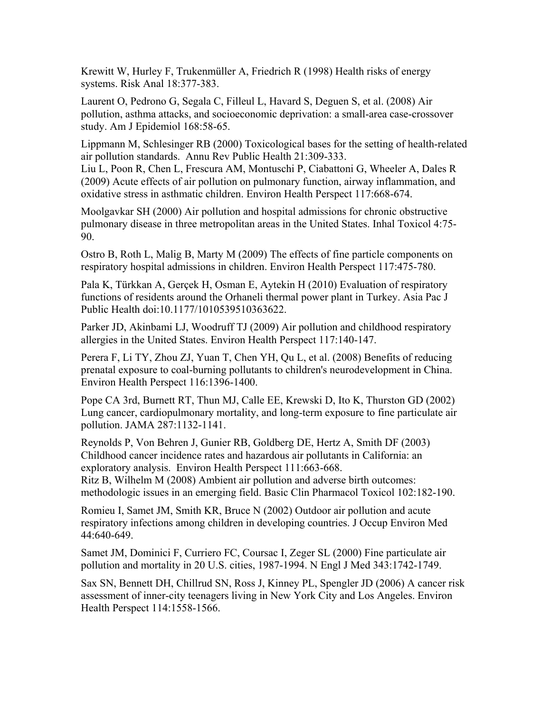Krewitt W, Hurley F, Trukenmüller A, Friedrich R (1998) Health risks of energy systems. Risk Anal 18:377-383.

Laurent O, Pedrono G, Segala C, Filleul L, Havard S, Deguen S, et al. (2008) Air pollution, asthma attacks, and socioeconomic deprivation: a small-area case-crossover study. Am J Epidemiol 168:58-65.

Lippmann M, Schlesinger RB (2000) Toxicological bases for the setting of health-related air pollution standards. Annu Rev Public Health 21:309-333.

Liu L, Poon R, Chen L, Frescura AM, Montuschi P, Ciabattoni G, Wheeler A, Dales R (2009) Acute effects of air pollution on pulmonary function, airway inflammation, and oxidative stress in asthmatic children. Environ Health Perspect 117:668-674.

Moolgavkar SH (2000) Air pollution and hospital admissions for chronic obstructive pulmonary disease in three metropolitan areas in the United States. Inhal Toxicol 4:75- 90.

Ostro B, Roth L, Malig B, Marty M (2009) The effects of fine particle components on respiratory hospital admissions in children. Environ Health Perspect 117:475-780.

Pala K, Türkkan A, Gerçek H, Osman E, Aytekin H (2010) Evaluation of respiratory functions of residents around the Orhaneli thermal power plant in Turkey. Asia Pac J Public Health doi:10.1177/1010539510363622.

Parker JD, Akinbami LJ, Woodruff TJ (2009) Air pollution and childhood respiratory allergies in the United States. Environ Health Perspect 117:140-147.

Perera F, Li TY, Zhou ZJ, Yuan T, Chen YH, Qu L, et al. (2008) Benefits of reducing prenatal exposure to coal-burning pollutants to children's neurodevelopment in China. Environ Health Perspect 116:1396-1400.

Pope CA 3rd, Burnett RT, Thun MJ, Calle EE, Krewski D, Ito K, Thurston GD (2002) Lung cancer, cardiopulmonary mortality, and long-term exposure to fine particulate air pollution. JAMA 287:1132-1141.

Reynolds P, Von Behren J, Gunier RB, Goldberg DE, Hertz A, Smith DF (2003) Childhood cancer incidence rates and hazardous air pollutants in California: an exploratory analysis. Environ Health Perspect 111:663-668.

Ritz B, Wilhelm M (2008) Ambient air pollution and adverse birth outcomes: methodologic issues in an emerging field. Basic Clin Pharmacol Toxicol 102:182-190.

Romieu I, Samet JM, Smith KR, Bruce N (2002) Outdoor air pollution and acute respiratory infections among children in developing countries. J Occup Environ Med 44:640-649.

Samet JM, Dominici F, Curriero FC, Coursac I, Zeger SL (2000) Fine particulate air pollution and mortality in 20 U.S. cities, 1987-1994. N Engl J Med 343:1742-1749.

Sax SN, Bennett DH, Chillrud SN, Ross J, Kinney PL, Spengler JD (2006) A cancer risk assessment of inner-city teenagers living in New York City and Los Angeles. Environ Health Perspect 114:1558-1566.